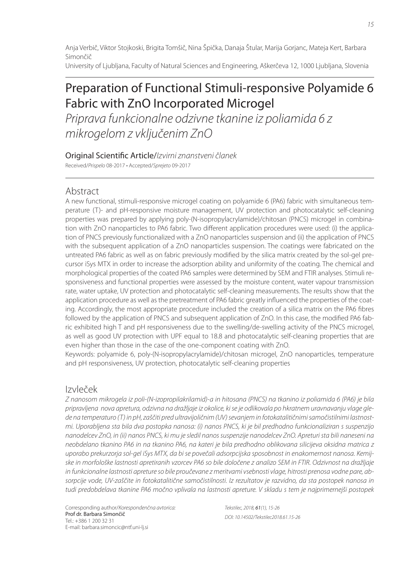Anja Verbič, Viktor Stojkoski, Brigita Tomšič, Nina Špička, Danaja Štular, Marija Gorjanc, Mateja Kert, Barbara Simončič University of Ljubljana, Faculty of Natural Sciences and Engineering, Aškerčeva 12, 1000 Ljubljana, Slovenia

# Preparation of Functional Stimuli-responsive Polyamide 6 Fabric with ZnO Incorporated Microgel

Priprava funkcionalne odzivne tkanine iz poliamida 6 z mikrogelom z vključenim ZnO

Original Scientific Article/Izvirni znanstveni članek

Received/Prispelo 08-2017 • Accepted/Sprejeto 09-2017

# Abstract

A new functional, stimuli-responsive microgel coating on polyamide 6 (PA6) fabric with simultaneous temperature (T)- and pH-responsive moisture management, UV protection and photocatalytic self-cleaning properties was prepared by applying poly-(N-isopropylacrylamide)/chitosan (PNCS) microgel in combination with ZnO nanoparticles to PA6 fabric. Two different application procedures were used: (i) the application of PNCS previously functionalized with a ZnO nanoparticles suspension and (ii) the application of PNCS with the subsequent application of a ZnO nanoparticles suspension. The coatings were fabricated on the untreated PA6 fabric as well as on fabric previously modified by the silica matrix created by the sol-gel precursor iSys MTX in order to increase the adsorption ability and uniformity of the coating. The chemical and morphological properties of the coated PA6 samples were determined by SEM and FTIR analyses. Stimuli responsiveness and functional properties were assessed by the moisture content, water vapour transmission rate, water uptake, UV protection and photocatalytic self-cleaning measurements. The results show that the application procedure as well as the pretreatment of PA6 fabric greatly influenced the properties of the coating. Accordingly, the most appropriate procedure included the creation of a silica matrix on the PA6 fibres followed by the application of PNCS and subsequent application of ZnO. In this case, the modified PA6 fabric exhibited high T and pH responsiveness due to the swelling/de-swelling activity of the PNCS microgel, as well as good UV protection with UPF equal to 18.8 and photocatalytic self-cleaning properties that are even higher than those in the case of the one-component coating with ZnO.

Keywords: polyamide 6, poly-(N-isopropylacrylamide)/chitosan microgel, ZnO nanoparticles, temperature and pH responsiveness, UV protection, photocatalytic self-cleaning properties

# Izvleček

Z nanosom mikrogela iz poli-(N-izopropilakrilamid)-a in hitosana (PNCS) na tkanino iz poliamida 6 (PA6) je bila pripravljena nova apretura, odzivna na dražljaje iz okolice, ki se je odlikovala po hkratnem uravnavanju vlage glede na temperaturo (T) in pH, zaščiti pred ultravijoličnim (UV) sevanjem in fotokatalitičnimi samočistilnimi lastnostmi. Uporabljena sta bila dva postopka nanosa: (i) nanos PNCS, ki je bil predhodno funkcionaliziran s suspenzijo nanodelcev ZnO, in (ii) nanos PNCS, ki mu je sledil nanos suspenzije nanodelcev ZnO. Apreturi sta bili naneseni na neobdelano tkanino PA6 in na tkanino PA6, na kateri je bila predhodno oblikovana silicijeva oksidna matrica z uporabo prekurzorja sol-gel iSys MTX, da bi se povečali adsorpcijska sposobnost in enakomernost nanosa. Kemijske in morfološke lastnosti apretiranih vzorcev PA6 so bile določene z analizo SEM in FTIR. Odzivnost na dražljaje in funkcionalne lastnosti apreture so bile proučevane z meritvami vsebnosti vlage, hitrosti prenosa vodne pare, absorpcije vode, UV-zaščite in fotokatalitične samočistilnosti. Iz rezultatov je razvidno, da sta postopek nanosa in tudi predobdelava tkanine PA6 močno vplivala na lastnosti apreture. V skladu s tem je najprimernejši postopek

Corresponding author/Korespondenčna avtorica: Prof dr. Barbara Simončič Tel.: +386 1 200 32 31 E-mail: barbara.simoncic@ntf.uni-lj.si

Tekstilec, 2018, 61(1), 15-26 DOI: 10.14502/Tekstilec2018.61.15-26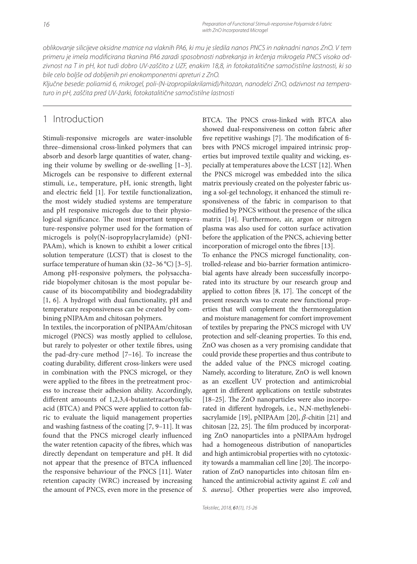oblikovanje silicijeve oksidne matrice na vlaknih PA6, ki mu je sledila nanos PNCS in naknadni nanos ZnO. V tem primeru je imela modificirana tkanina PA6 zaradi sposobnosti nabrekanja in krčenja mikrogela PNCS visoko odzivnost na T in pH, kot tudi dobro UV-zaščito z UZF, enakim 18,8, in fotokatalitične samočistilne lastnosti, ki so bile celo boljše od dobljenih pri enokomponentni apreturi z ZnO.

Ključne besede: poliamid 6, mikrogel, poli-(N-izopropilakrilamid)/hitozan, nanodelci ZnO, odzivnost na temperaturo in pH, zaščita pred UV-žarki, fotokatalitične samočistilne lastnosti

# 1 Introduction

Stimuli-responsive microgels are water-insoluble three–dimensional cross-linked polymers that can absorb and desorb large quantities of water, changing their volume by swelling or de-swelling  $[1-3]$ . Microgels can be responsive to different external stimuli, i.e., temperature, pH, ionic strength, light and electric field [1]. For textile functionalization, the most widely studied systems are temperature and pH responsive microgels due to their physiological significance. The most important temperature-responsive polymer used for the formation of microgels is poly(N-isopropylacrylamide) (pNI-PAAm), which is known to exhibit a lower critical solution temperature (LCST) that is closest to the surface temperature of human skin (32–36 °C) [3–5]. Among pH-responsive polymers, the polysaccharide biopolymer chitosan is the most popular because of its biocompatibility and biodegradability [1, 6]. A hydrogel with dual functionality, pH and temperature responsiveness can be created by combining pNIPAAm and chitosan polymers.

In textiles, the incorporation of pNIPAAm/chitosan microgel (PNCS) was mostly applied to cellulose, but rarely to polyester or other textile fibres, using the pad-dry-cure method [7–16]. To increase the coating durability, different cross-linkers were used in combination with the PNCS microgel, or they were applied to the fibres in the pretreatment process to increase their adhesion ability. Accordingly, different amounts of 1,2,3,4-butantetracarboxylic acid (BTCA) and PNCS were applied to cotton fabric to evaluate the liquid management properties and washing fastness of the coating [7, 9–11]. It was found that the PNCS microgel clearly influenced the water retention capacity of the fibres, which was directly dependant on temperature and pH. It did not appear that the presence of BTCA influenced the responsive behaviour of the PNCS [11]. Water retention capacity (WRC) increased by increasing the amount of PNCS, even more in the presence of BTCA. The PNCS cross-linked with BTCA also showed dual-responsiveness on cotton fabric after five repetitive washings [7]. The modification of fibres with PNCS microgel impaired intrinsic properties but improved textile quality and wicking, especially at temperatures above the LCST [12]. When the PNCS microgel was embedded into the silica matrix previously created on the polyester fabric using a sol-gel technology, it enhanced the stimuli responsiveness of the fabric in comparison to that modified by PNCS without the presence of the silica matrix [14]. Furthermore, air, argon or nitrogen plasma was also used for cotton surface activation before the application of the PNCS, achieving better incorporation of microgel onto the fibres [13].

To enhance the PNCS microgel functionality, controlled-release and bio-barrier formation antimicrobial agents have already been successfully incorporated into its structure by our research group and applied to cotton fibres  $[8, 17]$ . The concept of the present research was to create new functional properties that will complement the thermoregulation and moisture management for comfort improvement of textiles by preparing the PNCS microgel with UV protection and self-cleaning properties. To this end, ZnO was chosen as a very promising candidate that could provide these properties and thus contribute to the added value of the PNCS microgel coating. Namely, according to literature, ZnO is well known as an excellent UV protection and antimicrobial agent in different applications on textile substrates [18–25]. The ZnO nanoparticles were also incorporated in different hydrogels, i.e., N,N-methylenebisacrylamide [19], pNIPAAm [20],  $\beta$ -chitin [21] and chitosan [22, 25]. The film produced by incorporating ZnO nanoparticles into a pNIPAAm hydrogel had a homogeneous distribution of nanoparticles and high antimicrobial properties with no cytotoxicity towards a mammalian cell line [20]. The incorporation of ZnO nanoparticles into chitosan film enhanced the antimicrobial activity against *E. coli* and *S. aureus*]. Other properties were also improved,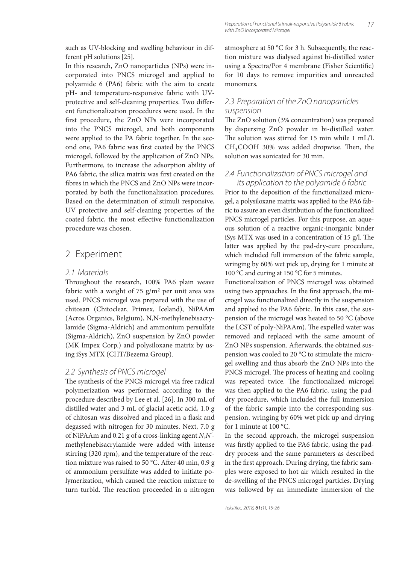such as UV-blocking and swelling behaviour in different pH solutions [25].

In this research, ZnO nanoparticles (NPs) were incorporated into PNCS microgel and applied to polyamide 6 (PA6) fabric with the aim to create pH- and temperature-responsive fabric with UVprotective and self-cleaning properties. Two different functionalization procedures were used. In the first procedure, the ZnO NPs were incorporated into the PNCS microgel, and both components were applied to the PA fabric together. In the second one, PA6 fabric was first coated by the PNCS microgel, followed by the application of ZnO NPs. Furthermore, to increase the adsorption ability of PA6 fabric, the silica matrix was first created on the fibres in which the PNCS and ZnO NPs were incorporated by both the functionalization procedures. Based on the determination of stimuli responsive, UV protective and self-cleaning properties of the coated fabric, the most effective functionalization procedure was chosen.

# 2 Experiment

### 2.1 Materials

Throughout the research, 100% PA6 plain weave fabric with a weight of 75  $g/m^2$  per unit area was used. PNCS microgel was prepared with the use of chitosan (Chitoclear, Primex, Iceland), NiPAAm (Acros Organics, Belgium), N,N-methylenebisacrylamide (Sigma-Aldrich) and ammonium persulfate (Sigma-Aldrich), ZnO suspension by ZnO powder (MK Impex Corp.) and polysiloxane matrix by using iSys MTX (CHT/Bezema Group).

### 2.2 Synthesis of PNCS microgel

The synthesis of the PNCS microgel via free radical polymerization was performed according to the procedure described by Lee et al. [26]. In 300 mL of distilled water and 3 mL of glacial acetic acid, 1.0 g of chitosan was dissolved and placed in a flask and degassed with nitrogen for 30 minutes. Next, 7.0 g of NiPAAm and 0.21 g of a cross-linking agent *N*,*N'* methylenebisacrylamide were added with intense stirring (320 rpm), and the temperature of the reaction mixture was raised to 50 °C. After 40 min, 0.9 g of ammonium persulfate was added to initiate polymerization, which caused the reaction mixture to turn turbid. The reaction proceeded in a nitrogen atmosphere at 50 °C for 3 h. Subsequently, the reaction mixture was dialysed against bi-distilled water using a Spectra/Por 4 membrane (Fisher Scientific) for 10 days to remove impurities and unreacted monomers.

### 2.3 Preparation of the ZnO nanoparticles suspension

The ZnO solution (3% concentration) was prepared by dispersing ZnO powder in bi-distilled water. The solution was stirred for 15 min while 1 mL/L  $CH<sub>3</sub>COOH$  30% was added dropwise. Then, the solution was sonicated for 30 min.

### 2.4 Functionalization of PNCS microgel and its application to the polyamide 6 fabric

Prior to the deposition of the functionalized microgel, a polysiloxane matrix was applied to the PA6 fabric to assure an even distribution of the functionalized PNCS microgel particles. For this purpose, an aqueous solution of a reactive organic-inorganic binder iSys MTX was used in a concentration of  $15$  g/l. The latter was applied by the pad-dry-cure procedure, which included full immersion of the fabric sample, wringing by 60% wet pick up, drying for 1 minute at 100 °C and curing at 150 °C for 5 minutes.

Functionalization of PNCS microgel was obtained using two approaches. In the first approach, the microgel was functionalized directly in the suspension and applied to the PA6 fabric. In this case, the suspension of the microgel was heated to 50 °C (above the LCST of poly-NiPAAm). The expelled water was removed and replaced with the same amount of ZnO NPs suspension. Afterwards, the obtained suspension was cooled to 20 °C to stimulate the microgel swelling and thus absorb the ZnO NPs into the PNCS microgel. The process of heating and cooling was repeated twice. The functionalized microgel was then applied to the PA6 fabric, using the paddry procedure, which included the full immersion of the fabric sample into the corresponding suspension, wringing by 60% wet pick up and drying for 1 minute at 100 °C.

In the second approach, the microgel suspension was firstly applied to the PA6 fabric, using the paddry process and the same parameters as described in the first approach. During drying, the fabric samples were exposed to hot air which resulted in the de-swelling of the PNCS microgel particles. Drying was followed by an immediate immersion of the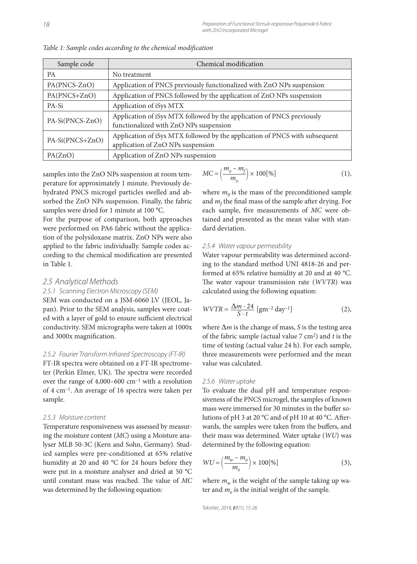| Sample code     | Chemical modification                                                                                            |  |  |  |  |
|-----------------|------------------------------------------------------------------------------------------------------------------|--|--|--|--|
| <b>PA</b>       | No treatment                                                                                                     |  |  |  |  |
| PA(PNCS-ZnO)    | Application of PNCS previously functionalized with ZnO NPs suspension                                            |  |  |  |  |
| PA(PNCS+ZnO)    | Application of PNCS followed by the application of ZnO NPs suspension                                            |  |  |  |  |
| PA-Si           | Application of iSys MTX                                                                                          |  |  |  |  |
| PA-Si(PNCS-ZnO) | Application of iSys MTX followed by the application of PNCS previously<br>functionalized with ZnO NPs suspension |  |  |  |  |
| PA-Si(PNCS+ZnO) | Application of iSys MTX followed by the application of PNCS with subsequent<br>application of ZnO NPs suspension |  |  |  |  |
| PA(ZnO)         | Application of ZnO NPs suspension                                                                                |  |  |  |  |

Table 1: Sample codes according to the chemical modification

samples into the ZnO NPs suspension at room temperature for approximately 1 minute. Previously dehydrated PNCS microgel particles swelled and absorbed the ZnO NPs suspension. Finally, the fabric samples were dried for 1 minute at 100 °C.

For the purpose of comparison, both approaches were performed on PA6 fabric without the application of the polysiloxane matrix. ZnO NPs were also applied to the fabric individually. Sample codes according to the chemical modification are presented in Table 1.

#### 2.5 Analytical Methods

#### 2.5.1 Scanning Electron Microscopy (SEM)

SEM was conducted on a JSM-6060 LV (JEOL, Japan). Prior to the SEM analysis, samples were coated with a layer of gold to ensure sufficient electrical conductivity. SEM micrographs were taken at 1000x and 3000x magnification.

### 2.5.2 Fourier Transform Infrared Spectroscopy (FT-IR)

FT-IR spectra were obtained on a FT-IR spectrometer (Perkin Elmer, UK). The spectra were recorded over the range of  $4,000-600$  cm<sup>-1</sup> with a resolution of 4 cm–1. An average of 16 spectra were taken per sample.

#### 2.5.3 Moisture content

Temperature responsiveness was assessed by measuring the moisture content (*MC*) using a Moisture analyser MLB 50-3C (Kern and Sohn, Germany). Studied samples were pre-conditioned at 65% relative humidity at 20 and 40 °C for 24 hours before they were put in a moisture analyser and dried at 50 °C until constant mass was reached. The value of  $MC$ was determined by the following equation:

$$
MC = \left(\frac{m_o - m_f}{m_o}\right) \times 100\,\text{[\%]}
$$
 (1),

where  $m_0$  is the mass of the preconditioned sample and  $m_f$  the final mass of the sample after drying. For each sample, five measurements of MC were obtained and presented as the mean value with standard deviation.

#### 2.5.4 Water vapour permeability

Water vapour permeability was determined according to the standard method UNI 4818-26 and performed at 65% relative humidity at 20 and at 40 °C. The water vapour transmission rate (WVTR) was calculated using the following equation:

$$
WVTR = \frac{\Delta m \cdot 24}{S \cdot t} \left[ \text{gm}^{-2} \text{ day}^{-1} \right] \tag{2},
$$

where Δ*m* is the change of mass, *S* is the testing area of the fabric sample (actual value 7 cm2) and *t* is the time of testing (actual value 24 h). For each sample, three measurements were performed and the mean value was calculated.

#### 2.5.6 Water uptake

To evaluate the dual pH and temperature responsiveness of the PNCS microgel, the samples of known mass were immersed for 30 minutes in the buffer solutions of pH 3 at 20  $^{\circ}$ C and of pH 10 at 40  $^{\circ}$ C. Afterwards, the samples were taken from the buffers, and their mass was determined. Water uptake (*WU*) was determined by the following equation:

$$
WU = \left(\frac{m_w - m_o}{m_o}\right) \times 100\,\text{[%]}
$$
 (3),

where  $m_w$  is the weight of the sample taking up water and  $m<sub>o</sub>$  is the initial weight of the sample.

Tekstilec, 2018, 61(1), 15-26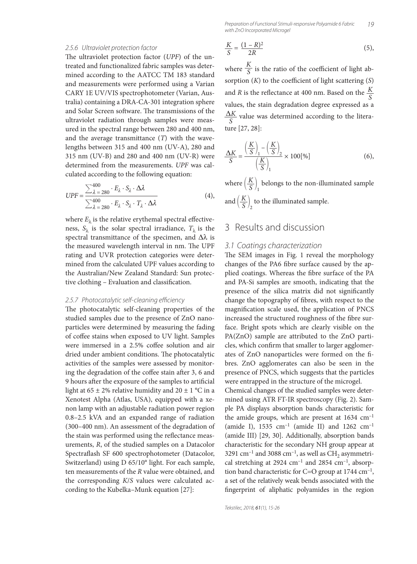19 Preparation of Functional Stimuli-responsive Polyamide 6 Fabric with ZnO Incorporated Microgel

#### 2.5.6 Ultraviolet protection factor

The ultraviolet protection factor (*UPF*) of the untreated and functionalized fabric samples was determined according to the AATCC TM 183 standard and measurements were performed using a Varian CARY 1E UV/VIS spectrophotometer (Varian, Australia) containing a DRA-CA-301 integration sphere and Solar Screen software. The transmissions of the ultraviolet radiation through samples were measured in the spectral range between 280 and 400 nm, and the average transmittance (*T*) with the wavelengths between 315 and 400 nm (UV-A), 280 and 315 nm (UV-B) and 280 and 400 nm (UV-R) were determined from the measurements. *UPF* was calculated according to the following equation:

$$
UPF = \frac{\sum_{\lambda=280}^{400} \cdot E_{\lambda} \cdot S_{\lambda} \cdot \Delta \lambda}{\sum_{\lambda=280}^{400} \cdot E_{\lambda} \cdot S_{\lambda} \cdot T_{\lambda} \cdot \Delta \lambda}
$$
(4),

where  $E_{\lambda}$  is the relative erythemal spectral effectiveness,  $S_\lambda$  is the solar spectral irradiance,  $T_\lambda$  is the spectral transmittance of the specimen, and  $\Delta\lambda$  is the measured wavelength interval in nm. The UPF rating and UVR protection categories were determined from the calculated UPF values according to the Australian/New Zealand Standard: Sun protective clothing - Evaluation and classification.

#### 2.5.7 Photocatalytic self-cleaning efficiency

The photocatalytic self-cleaning properties of the studied samples due to the presence of ZnO nanoparticles were determined by measuring the fading of coffee stains when exposed to UV light. Samples were immersed in a 2.5% coffee solution and air dried under ambient conditions. The photocatalytic activities of the samples were assessed by monitoring the degradation of the coffee stain after 3, 6 and 9 hours after the exposure of the samples to artificial light at 65  $\pm$  2% relative humidity and 20  $\pm$  1 °C in a Xenotest Alpha (Atlas, USA), equipped with a xenon lamp with an adjustable radiation power region 0.8–2.5 kVA and an expanded range of radiation (300–400 nm). An assessment of the degradation of the stain was performed using the reflectance measurements, *R*, of the studied samples on a Datacolor Spectraflash SF 600 spectrophotometer (Datacolor, Switzerland) using D 65/10° light. For each sample, ten measurements of the *R* value were obtained, and the corresponding *K*/*S* values were calculated according to the Kubelka–Munk equation [27]:

$$
\frac{K}{S} = \frac{(1 - R)^2}{2R} \tag{5}
$$

where  $\frac{K}{S}$  is the ratio of the coefficient of light absorption (*K*) to the coefficient of light scattering (*S*) and *R* is the reflectance at 400 nm. Based on the  $\frac{K}{S}$ values, the stain degradation degree expressed as a  $\frac{\Delta K}{S}$  value was determined according to the literature [27, 28]:

$$
\frac{\Delta K}{S} = \frac{\left(\frac{K}{S}\right)_1 - \left(\frac{K}{S}\right)_2}{\left(\frac{K}{S}\right)_1} \times 100\,\text{[%]}
$$
\n(6),

where  $\left(\frac{K}{S}\right)_1$  belongs to the non-illuminated sample and  $\left(\frac{K}{S}\right)_2$  to the illuminated sample.

# 3 Results and discussion

#### 3.1 Coatings characterization

The SEM images in Fig. 1 reveal the morphology changes of the PA6 fibre surface caused by the applied coatings. Whereas the fibre surface of the PA and PA-Si samples are smooth, indicating that the presence of the silica matrix did not significantly change the topography of fibres, with respect to the magnification scale used, the application of PNCS increased the structured roughness of the fibre surface. Bright spots which are clearly visible on the PA(ZnO) sample are attributed to the ZnO particles, which confirm that smaller to larger agglomerates of ZnO nanoparticles were formed on the fibres. ZnO agglomerates can also be seen in the presence of PNCS, which suggests that the particles were entrapped in the structure of the microgel.

Chemical changes of the studied samples were determined using ATR FT-IR spectroscopy (Fig. 2). Sample PA displays absorption bands characteristic for the amide groups, which are present at 1634 cm<sup>-1</sup> (amide I),  $1535 \text{ cm}^{-1}$  (amide II) and  $1262 \text{ cm}^{-1}$ (amide III) [29, 30]. Additionally, absorption bands characteristic for the secondary NH group appear at 3291 cm<sup>-1</sup> and 3088 cm<sup>-1</sup>, as well as CH<sub>2</sub> asymmetrical stretching at 2924  $cm^{-1}$  and 2854  $cm^{-1}$ , absorption band characteristic for  $C=O$  group at 1744 cm<sup>-1</sup>, a set of the relatively weak bends associated with the fingerprint of aliphatic polyamides in the region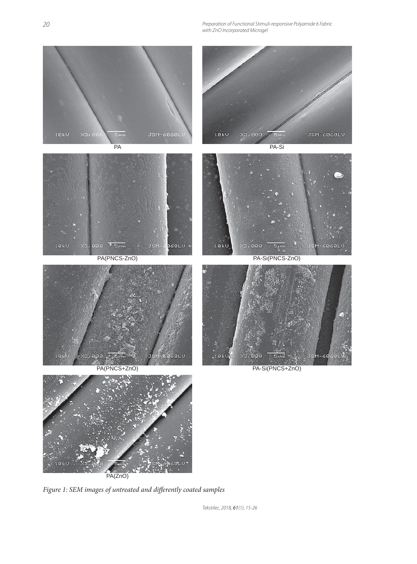Preparation of Functional Stimuli-responsive Polyamide 6 Fabric with ZnO Incorporated Microgel



Figure 1: SEM images of untreated and differently coated samples

Tekstilec, 2018, 61(1), 15-26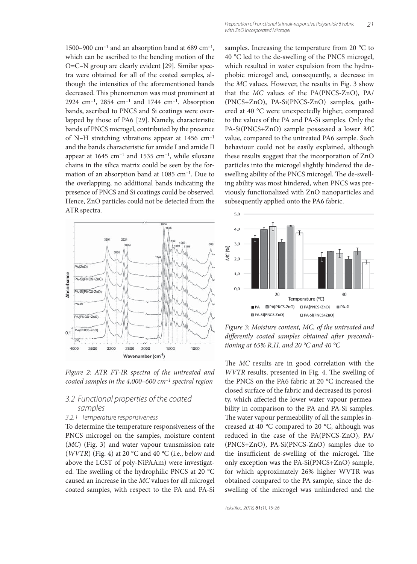1500–900 cm<sup>-1</sup> and an absorption band at 689 cm<sup>-1</sup>, which can be ascribed to the bending motion of the O=C–N group are clearly evident [29]. Similar spectra were obtained for all of the coated samples, although the intensities of the aforementioned bands decreased. This phenomenon was most prominent at 2924 cm–1, 2854 cm–1 and 1744 cm–1. Absorption bands, ascribed to PNCS and Si coatings were overlapped by those of PA6 [29]. Namely, characteristic bands of PNCS microgel, contributed by the presence of N–H stretching vibrations appear at 1456 cm–1 and the bands characteristic for amide I and amide II appear at  $1645$  cm<sup>-1</sup> and  $1535$  cm<sup>-1</sup>, while siloxane chains in the silica matrix could be seen by the formation of an absorption band at 1085 cm–1. Due to the overlapping, no additional bands indicating the presence of PNCS and Si coatings could be observed. Hence, ZnO particles could not be detected from the ATR spectra.



*Figure 2: ATR FT-IR spectra of the untreated and coated samples in the 4,000–600 cm–1 spectral region*

### 3.2 Functional properties of the coated samples

#### 3.2.1 Temperature responsiveness

To determine the temperature responsiveness of the PNCS microgel on the samples, moisture content (*MC*) (Fig. 3) and water vapour transmission rate (*WVTR*) (Fig. 4) at 20 °C and 40 °C (i.e., below and above the LCST of poly-NiPAAm) were investigated. The swelling of the hydrophilic PNCS at 20  $^{\circ}$ C caused an increase in the *MC* values for all microgel coated samples, with respect to the PA and PA-Si

samples. Increasing the temperature from 20 °C to 40 °C led to the de-swelling of the PNCS microgel, which resulted in water expulsion from the hydrophobic microgel and, consequently, a decrease in the *MC* values. However, the results in Fig. 3 show that the *MC* values of the PA(PNCS-ZnO), PA/ (PNCS+ZnO), PA-Si(PNCS-ZnO) samples, gathered at 40 °C were unexpectedly higher, compared to the values of the PA and PA-Si samples. Only the PA-Si(PNCS+ZnO) sample possessed a lower *MC* value, compared to the untreated PA6 sample. Such behaviour could not be easily explained, although these results suggest that the incorporation of ZnO particles into the microgel slightly hindered the deswelling ability of the PNCS microgel. The de-swelling ability was most hindered, when PNCS was previously functionalized with ZnO nanoparticles and subsequently applied onto the PA6 fabric.



*Figure 3: Moisture content, MC, of the untreated and*  differently coated samples obtained after precondi*tioning at 65% R.H. and 20 °C and 40 °C*

The *MC* results are in good correlation with the *WVTR* results, presented in Fig. 4. The swelling of the PNCS on the PA6 fabric at 20 °C increased the closed surface of the fabric and decreased its porosity, which affected the lower water vapour permeability in comparison to the PA and PA-Si samples. The water vapour permeability of all the samples increased at 40 °C compared to 20 °C, although was reduced in the case of the PA(PNCS-ZnO), PA/ (PNCS+ZnO), PA-Si(PNCS-ZnO) samples due to the insufficient de-swelling of the microgel. The only exception was the PA-Si(PNCS+ZnO) sample, for which approximately 26% higher WVTR was obtained compared to the PA sample, since the deswelling of the microgel was unhindered and the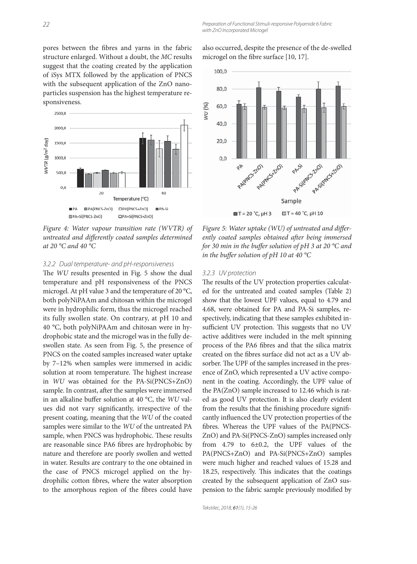pores between the fibres and yarns in the fabric structure enlarged. Without a doubt, the *MC* results suggest that the coating created by the application of iSys MTX followed by the application of PNCS with the subsequent application of the ZnO nanoparticles suspension has the highest temperature responsiveness.



*Figure 4: Water vapour transition rate (WVTR) of*  untreated and differently coated samples determined *at 20 °C and 40 °C*

#### 3.2.2 Dual temperature- and pH-responsiveness

The *WU* results presented in Fig. 5 show the dual temperature and pH responsiveness of the PNCS microgel. At pH value 3 and the temperature of 20 °C, both polyNiPAAm and chitosan within the microgel were in hydrophilic form, thus the microgel reached its fully swollen state. On contrary, at pH 10 and 40 °C, both polyNiPAAm and chitosan were in hydrophobic state and the microgel was in the fully deswollen state. As seen from Fig. 5, the presence of PNCS on the coated samples increased water uptake by 7–12% when samples were immersed in acidic solution at room temperature. The highest increase in *WU* was obtained for the PA-Si(PNCS+ZnO) sample. In contrast, after the samples were immersed in an alkaline buffer solution at 40 °C, the *WU* values did not vary significantly, irrespective of the present coating, meaning that the *WU* of the coated samples were similar to the *WU* of the untreated PA sample, when PNCS was hydrophobic. These results are reasonable since PA6 fibres are hydrophobic by nature and therefore are poorly swollen and wetted in water. Results are contrary to the one obtained in the case of PNCS microgel applied on the hydrophilic cotton fibres, where the water absorption to the amorphous region of the fibres could have also occurred, despite the presence of the de-swelled microgel on the fibre surface [10, 17].



Figure 5: Water uptake (WU) of untreated and differently coated samples obtained after being immersed *for 30 min in the buffer solution of pH 3 at 20 °C and in the buffer solution of pH 10 at 40 °C* 

#### 3.2.3 UV protection

The results of the UV protection properties calculated for the untreated and coated samples (Table 2) show that the lowest UPF values, equal to 4.79 and 4.68, were obtained for PA and PA-Si samples, respectively, indicating that these samples exhibited insufficient UV protection. This suggests that no UV active additives were included in the melt spinning process of the PA6 fibres and that the silica matrix created on the fibres surface did not act as a UV absorber. The UPF of the samples increased in the presence of ZnO, which represented a UV active component in the coating. Accordingly, the UPF value of the PA(ZnO) sample increased to 12.46 which is rated as good UV protection. It is also clearly evident from the results that the finishing procedure significantly influenced the UV protection properties of the fibres. Whereas the UPF values of the PA(PNCS-ZnO) and PA-Si(PNCS-ZnO) samples increased only from 4.79 to 6±0.2, the UPF values of the PA(PNCS+ZnO) and PA-Si(PNCS+ZnO) samples were much higher and reached values of 15.28 and 18.25, respectively. This indicates that the coatings created by the subsequent application of ZnO suspension to the fabric sample previously modified by

Tekstilec, 2018, 61(1), 15-26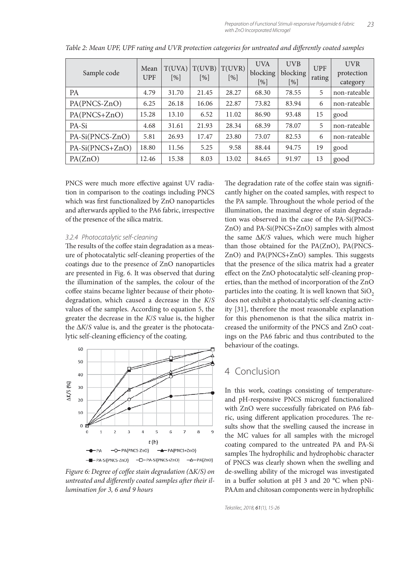| Sample code     | Mean<br><b>UPF</b> | T(UVA)<br>$\lceil\% \rceil$ | T(UVB)<br>$\lceil \% \rceil$ | T(UVR)<br>[%] | <b>UVA</b><br>blocking<br>$\lceil \% \rceil$ | <b>UVB</b><br>blocking<br>[%] | <b>UPF</b><br>rating | <b>UVR</b><br>protection<br>category |
|-----------------|--------------------|-----------------------------|------------------------------|---------------|----------------------------------------------|-------------------------------|----------------------|--------------------------------------|
| <b>PA</b>       | 4.79               | 31.70                       | 21.45                        | 28.27         | 68.30                                        | 78.55                         | 5                    | non-rateable                         |
| PA(PNCS-ZnO)    | 6.25               | 26.18                       | 16.06                        | 22.87         | 73.82                                        | 83.94                         | 6                    | non-rateable                         |
| PA(PNCS+ZnO)    | 15.28              | 13.10                       | 6.52                         | 11.02         | 86.90                                        | 93.48                         | 15                   | good                                 |
| PA-Si           | 4.68               | 31.61                       | 21.93                        | 28.34         | 68.39                                        | 78.07                         | 5                    | non-rateable                         |
| PA-Si(PNCS-ZnO) | 5.81               | 26.93                       | 17.47                        | 23.80         | 73.07                                        | 82.53                         | 6                    | non-rateable                         |
| PA-Si(PNCS+ZnO) | 18.80              | 11.56                       | 5.25                         | 9.58          | 88.44                                        | 94.75                         | 19                   | ' good                               |
| PA(ZnO)         | 12.46              | 15.38                       | 8.03                         | 13.02         | 84.65                                        | 91.97                         | 13                   | good                                 |

*Table 2: Mean UPF, UPF rating and UVR protection categories for untreated and differently coated samples* 

PNCS were much more effective against UV radiation in comparison to the coatings including PNCS which was first functionalized by ZnO nanoparticles and afterwards applied to the PA6 fabric, irrespective of the presence of the silica matrix.

#### 3.2.4 Photocatalytic self-cleaning

The results of the coffee stain degradation as a measure of photocatalytic self-cleaning properties of the coatings due to the presence of ZnO nanoparticles are presented in Fig. 6. It was observed that during the illumination of the samples, the colour of the coffee stains became lighter because of their photodegradation, which caused a decrease in the *K*/*S* values of the samples. According to equation 5, the greater the decrease in the *K*/*S* value is, the higher the Δ*K*/*S* value is, and the greater is the photocatalytic self-cleaning efficiency of the coating.



*Figure 6: Degree of coffee stain degradation (* $\Delta$ *K/S) on* untreated and differently coated samples after their il*lumination for 3, 6 and 9 hours*

The degradation rate of the coffee stain was significantly higher on the coated samples, with respect to the PA sample. Throughout the whole period of the illumination, the maximal degree of stain degradation was observed in the case of the PA-Si(PNCS-ZnO) and PA-Si(PNCS+ZnO) samples with almost the same Δ*K/S* values, which were much higher than those obtained for the PA(ZnO), PA(PNCS-ZnO) and PA(PNCS+ZnO) samples. This suggests that the presence of the silica matrix had a greater effect on the ZnO photocatalytic self-cleaning properties, than the method of incorporation of the ZnO particles into the coating. It is well known that  $SiO<sub>2</sub>$ does not exhibit a photocatalytic self-cleaning activity [31], therefore the most reasonable explanation for this phenomenon is that the silica matrix increased the uniformity of the PNCS and ZnO coatings on the PA6 fabric and thus contributed to the behaviour of the coatings.

## 4 Conclusion

In this work, coatings consisting of temperatureand pH-responsive PNCS microgel functionalized with ZnO were successfully fabricated on PA6 fabric, using different application procedures. The results show that the swelling caused the increase in the MC values for all samples with the microgel coating compared to the untreated PA and PA-Si samples The hydrophilic and hydrophobic character of PNCS was clearly shown when the swelling and de-swelling ability of the microgel was investigated in a buffer solution at pH 3 and 20  $^{\circ}$ C when pNi-PAAm and chitosan components were in hydrophilic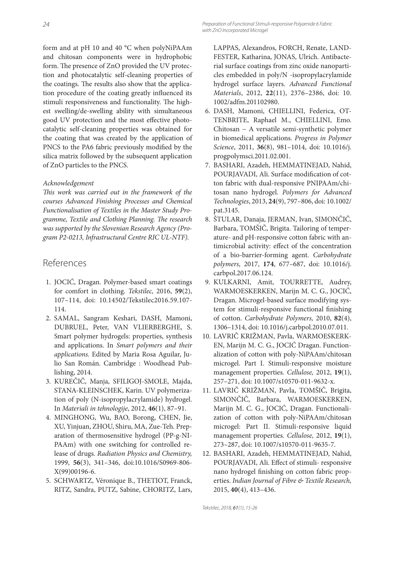form and at pH 10 and 40 °C when polyNiPAAm and chitosan components were in hydrophobic form. The presence of ZnO provided the UV protection and photocatalytic self-cleaning properties of the coatings. The results also show that the application procedure of the coating greatly influenced its stimuli responsiveness and functionality. The highest swelling/de-swelling ability with simultaneous good UV protection and the most effective photocatalytic self-cleaning properties was obtained for the coating that was created by the application of PNCS to the PA6 fabric previously modified by the silica matrix followed by the subsequent application of ZnO particles to the PNCS.

### *Acknowledgement*

This work was carried out in the framework of the *courses Advanced Finishing Processes and Chemical Functionalisation of Textiles in the Master Study Pro*gramme, Textile and Clothing Planning. The research *was supported by the Slovenian Research Agency (Program P2-0213, Infrastructural Centre RIC UL-NTF).*

# References

- 1. JOCIĆ, Dragan. Polymer-based smart coatings for comfort in clothing. *Tekstilec,* 2016, **59**(2), 107–114, doi: 10.14502/Tekstilec2016.59.107- 114.
- 2. SAMAL, Sangram Keshari, DASH, Mamoni, DUBRUEL, Peter, VAN VLIERBERGHE, S. Smart polymer hydrogels: properties, synthesis and applications. In *Smart polymers and their applications.* Edited by Maria Rosa Aguilar, Julio San Román. Cambridge : Woodhead Publishing, 2014.
- 3. KUREČIČ, Manja, SFILIGOJ-SMOLE, Majda, STANA-KLEINSCHEK, Karin. UV polymerization of poly (N-isopropylacrylamide) hydrogel. In *Materiali in tehnologije*, 2012, **46**(1), 87–91.
- 4. MINGHONG, Wu, BAO, Borong, CHEN, Jie, XU, Yinjuan, ZHOU, Shiru, MA, Zue-Teh. Preparation of thermosensitive hydrogel (PP-g-NI-PAAm) with one switching for controlled release of drugs. *Radiation Physics and Chemistry,*  1999, **56**(3), 341–346, doi:10.1016/S0969-806- X(99)00196-6.
- 5. SCHWARTZ, Véronique B., THETIOT, Franck, RITZ, Sandra, PUTZ, Sabine, CHORITZ, Lars,

LAPPAS, Alexandros, FORCH, Renate, LAND-FESTER, Katharina, JONAS, Ulrich. Antibacterial surface coatings from zinc oxide nanoparticles embedded in poly/N -isopropylacrylamide hydrogel surface layers. *Advanced Functional Materials*, 2012, **22**(11), 2376–2386, doi: 10. 1002/adfm.201102980.

- 6. DASH, Mamoni, CHIELLINI, Federica, OT-TENBRITE, Raphael M., CHIELLINI, Emo. Chitosan − A versatile semi-synthetic polymer in biomedical applications. *Progress in Polymer Science*, 2011, **36**(8), 981–1014, doi: 10.1016/j. progpolymsci.2011.02.001.
- 7. BASHARI, Azadeh, HEMMATINEJAD, Nahid, POURJAVADI, Ali. Surface modification of cotton fabric with dual-responsive PNIPAAm/chitosan nano hydrogel. *Polymers for Advanced Technologies*, 2013, **24**(9), 797–806, doi: 10.1002/ pat.3145.
- 8. ŠTULAR, Danaja, JERMAN, Ivan, SIMONČIČ, Barbara, TOMŠIČ, Brigita. Tailoring of temperature- and pH-responsive cotton fabric with antimicrobial activity: effect of the concentration of a bio-barrier-forming agent. *Carbohydrate polymers*, 2017, **174**, 677–687, doi: 10.1016/j. carbpol.2017.06.124.
- 9. KULKARNI, Amit, TOURRETTE, Audrey, WARMOESKERKEN, Marijn M. C. G., JOCIĆ, Dragan. Microgel-based surface modifying system for stimuli-responsive functional finishing of cotton. *Carbohydrate Polymers,* 2010, **82**(4), 1306–1314, doi: 10.1016/j.carbpol.2010.07.011.
- 10. LAVRIČ KRIŽMAN, Pavla, WARMOESKERK-EN, Marijn M. C. G., JOCIĆ Dragan. Functionalization of cotton with poly-NiPAAm/chitosan microgel. Part I. Stimuli-responsive moisture management properties. *Cellulose,* 2012, **19**(1), 257–271, doi: 10.1007/s10570-011-9632-x.
- 11. LAVRIČ KRIŽMAN, Pavla, TOMŠIČ, Brigita, SIMONČIČ, Barbara, WARMOESKERKEN, Marijn M. C. G., JOCIĆ, Dragan. Functionalization of cotton with poly-NiPAAm/chitosan microgel: Part II. Stimuli-responsive liquid management properties. *Cellulose,* 2012, **19**(1), 273–287, doi: 10.1007/s10570-011-9635-7.
- 12. BASHARI, Azadeh, HEMMATINEJAD, Nahid, POURJAVADI, Ali. Effect of stimuli- responsive nano hydrogel finishing on cotton fabric properties. *Indian Journal of Fibre & Textile Research,*  2015, **40**(4), 413–436.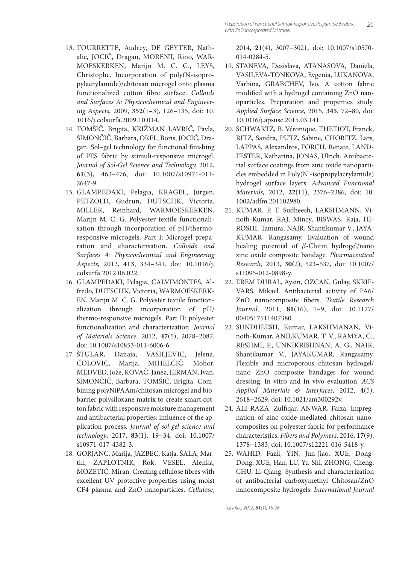- 13. TOURRETTE, Audrey, DE GEYTER, Nathalie, JOCIČ, Dragan, MORENT, Rino, WAR-MOESKERKEN, Marijn M. C. G., LEYS, Christophe. Incorporation of poly(N-isopropylacrylamide)/chitosan microgel onto plasma functionalized cotton fibre surface. Colloids *and Surfaces A: Physicochemical and Engineering Aspects,* 2009, **352**(1–3), 126–135, doi: 10. 1016/j.colsurfa.2009.10.014.
- 14. TOMŠIČ, Brigita, KRIŽMAN LAVRIČ, Pavla, SIMONČIČ, Barbara, OREL, Boris, JOCIĆ, Dragan. Sol-gel technology for functional finishing of PES fabric by stimuli-responsive microgel. *Journal of Sol-Gel Science and Technology,* 2012, **61**(3), 463–476, doi: 10.1007/s10971-011- 2647-9.
- 15. GLAMPEDAKI, Pelagia, KRAGEL, Jürgen, PETZOLD, Gudrun, DUTSCHK, Victoria, MILLER, Reinhard, WARMOESKERKEN, Marijn M. C. G. Polyester textile functionalisation through incorporation of pH/thermoresponsive microgels. Part I: Microgel preparation and characterisation. *Colloids and Surfaces A*: *Physicochemical and Engineering Aspects,* 2012, **413**, 334–341, doi: 10.1016/j. colsurfa.2012.06.022.
- 16. GLAMPEDAKI, Pelagia, CALVIMONTES, Alfredo, DUTSCHK, Victoria, WARMOESKERK-EN, Marijn M. C. G. Polyester textile functionalization through incorporation of pH/ thermo-responsive microgels. Part II: polyester functionalization and characterization. *Journal of Materials Science,* 2012, **47**(5), 2078–2087, doi: 10.1007/s10853-011-6006-6.
- 17. ŠTULAR, Danaja, VASILJEVIĆ, Jelena, ČOLOVIĆ, Marija, MIHELČIČ, Mohor, MEDVED, Jože, KOVAČ, Janez, JERMAN, Ivan, SIMONČIČ, Barbara, TOMŠIČ, Brigita. Combining polyNiPAAm/chitosan microgel and biobarrier polysiloxane matrix to create smart cotton fabric with responsive moisture management and antibacterial properties: influence of the application process. *Journal of sol-gel science and technology*, 2017, **83**(1), 19−34, doi: 10.1007/ s10971-017-4382-3.
- 18. GORJANC, Marija, JAZBEC, Katja, ŠALA, Martin, ZAPLOTNIK, Rok, VESEL, Alenka, MOZETIČ, Miran. Creating cellulose fibres with excellent UV protective properties using moist CF4 plasma and ZnO nanoparticles. *Cellulose*,

2014, **21**(4), 3007−3021, doi: 10.1007/s10570- 014-0284-5.

- 19. STANEVA, Desislava, ATANASOVA, Daniela, VASILEVA-TONKOVA, Evgenia, LUKANOVA, Varbina, GRABCHEV, Ivo. A cotton fabric modified with a hydrogel containing ZnO nanoparticles. Preparation and properties study. *Applied Surface Science,* 2015, **345**, 72–80, doi: 10.1016/j.apsusc.2015.03.141.
- 20. SCHWARTZ, B. Véronique, THETIOT, Franck, RITZ, Sandra, PUTZ, Sabine, CHORITZ, Lars, LAPPAS, Alexandros, FORCH, Renate, LAND-FESTER, Katharina, JONAS, Ulrich. Antibacterial surface coatings from zinc oxide nanoparticles embedded in Poly(N -isopropylacrylamide) hydrogel surface layers. *Advanced Functional Materials,* 2012, **22**(11), 2376–2386, doi: 10. 1002/adfm.201102980.
- 21. KUMAR, P. T. Sudheesh, LAKSHMANN, Vinoth-Kumar, RAJ, Mincy, BISWAS, Raja, HI-ROSHI, Tamura, NAIR, Shantikumar V., JAYA-KUMAR, Rangasamy. Evaluation of wound healing potential of  $\beta$ -Chitin hydrogel/nano zinc oxide composite bandage. *Pharmaceutical Research,* 2013, **30**(2), 523–537, doi: 10.1007/ s11095-012-0898-y.
- 22. EREM DURAL, Aysin, OZCAN, Gulay, SKRIF-VARS, Mikael. Antibacterial activity of PA6/ ZnO nanocomposite fibers. Textile Research *Journal,* 2011, **81**(16), 1–9, doi: 10.1177/ 0040517511407380.
- 23. SUNDHEESH, Kumar, LAKSHMANAN, Vinoth-Kumar, ANILKUMAR, T. V., RAMYA, C., RESHMI, P., UNNIKRISHNAN, A. G., NAIR, Shantikumar V., JAYAKUMAR, Rangasamy. Flexible and microporous chitosan hydrogel/ nano ZnO composite bandages for wound dressing: In vitro and In vivo evaluation. *ACS Applied Materials & Interfaces,* 2012, **4**(5), 2618−2629, doi: 10.1021/am300292v.
- 24. ALI RAZA, Zulfiqar, ANWAR, Faiza. Impregnation of zinc oxide mediated chitosan nanocomposites on polyester fabric for performance characteristics. *Fibers and Polymers,* 2016, **17**(9), 1378−1383, doi: 10.1007/s12221-016-5418-y.
- 25. WAHID, Fazli, YIN, Jun-Jiao, XUE, Dong-Dong, XUE, Han, LU, Yu-Shi, ZHONG, Cheng, CHU, Li-Qiang. Synthesis and characterization of antibacterial carboxymethyl Chitosan/ZnO nanocomposite hydrogels. *International Journal*